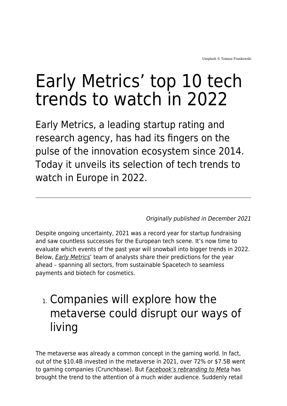# Early Metrics' top 10 tech trends to watch in 2022

Early Metrics, a leading startup rating and research agency, has had its fingers on the pulse of the innovation ecosystem since 2014. Today it unveils its selection of tech trends to watch in Europe in 2022.

Originally published in December 2021

Despite ongoing uncertainty, 2021 was a record year for startup fundraising and saw countless successes for the European tech scene. It's now time to evaluate which events of the past year will snowball into bigger trends in 2022. Below, *[Early Metrics](https://earlymetrics.com/)'* team of analysts share their predictions for the year ahead – spanning all sectors, from sustainable Spacetech to seamless payments and biotech for cosmetics.

# 1. Companies will explore how the metaverse could disrupt our ways of living

The metaverse was already a common concept in the gaming world. In fact, out of the \$10.4B invested in the metaverse in 2021, over 72% or \$7.5B went to gaming companies (Crunchbase). But [Facebook's rebranding to Meta](https://www.maddyness.com/uk/2021/11/01/facebook-rebrand-everything-you-need-to-know-about-the-move-to-meta/) has brought the trend to the attention of a much wider audience. Suddenly retail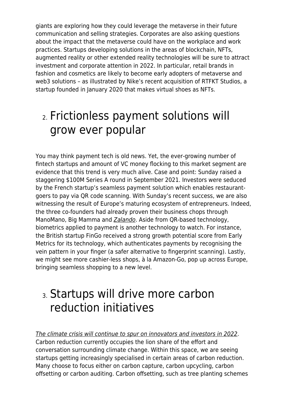giants are exploring how they could leverage the metaverse in their future communication and selling strategies. Corporates are also asking questions about the impact that the metaverse could have on the workplace and work practices. Startups developing solutions in the areas of blockchain, NFTs, augmented reality or other extended reality technologies will be sure to attract investment and corporate attention in 2022. In particular, retail brands in fashion and cosmetics are likely to become early adopters of metaverse and web3 solutions – as illustrated by Nike's recent acquisition of RTFKT Studios, a startup founded in January 2020 that makes virtual shoes as NFTs.

# 2. Frictionless payment solutions will grow ever popular

You may think payment tech is old news. Yet, the ever-growing number of fintech startups and amount of VC money flocking to this market segment are evidence that this trend is very much alive. Case and point: Sunday raised a staggering \$100M Series A round in September 2021. Investors were seduced by the French startup's seamless payment solution which enables restaurantgoers to pay via QR code scanning. With Sunday's recent success, we are also witnessing the result of Europe's maturing ecosystem of entrepreneurs. Indeed, the three co-founders had already proven their business chops through ManoMano, Big Mamma and [Zalando](https://www.zalando.co.uk/women-home/). Aside from QR-based technology, biometrics applied to payment is another technology to watch. For instance, the British startup FinGo received a strong growth potential score from Early Metrics for its technology, which authenticates payments by recognising the vein pattern in your finger (a safer alternative to fingerprint scanning). Lastly, we might see more cashier-less shops, à la Amazon-Go, pop up across Europe, bringing seamless shopping to a new level.

### 3. Startups will drive more carbon reduction initiatives

[The climate crisis will continue to spur on innovators and investors in 2022](https://www.maddyness.com/uk/2021/09/09/why-do-small-businesses-need-to-monitor-their-esg-we-spoke-to-the-experts/). Carbon reduction currently occupies the lion share of the effort and conversation surrounding climate change. Within this space, we are seeing startups getting increasingly specialised in certain areas of carbon reduction. Many choose to focus either on carbon capture, carbon upcycling, carbon offsetting or carbon auditing. Carbon offsetting, such as tree planting schemes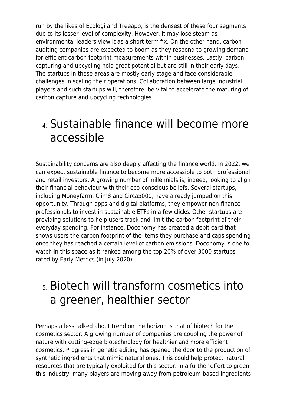run by the likes of Ecologi and Treeapp, is the densest of these four segments due to its lesser level of complexity. However, it may lose steam as environmental leaders view it as a short-term fix. On the other hand, carbon auditing companies are expected to boom as they respond to growing demand for efficient carbon footprint measurements within businesses. Lastly, carbon capturing and upcycling hold great potential but are still in their early days. The startups in these areas are mostly early stage and face considerable challenges in scaling their operations. Collaboration between large industrial players and such startups will, therefore, be vital to accelerate the maturing of carbon capture and upcycling technologies.

## 4. Sustainable finance will become more accessible

Sustainability concerns are also deeply affecting the finance world. In 2022, we can expect sustainable finance to become more accessible to both professional and retail investors. A growing number of millennials is, indeed, looking to align their financial behaviour with their eco-conscious beliefs. Several startups, including Moneyfarm, Clim8 and Circa5000, have already jumped on this opportunity. Through apps and digital platforms, they empower non-finance professionals to invest in sustainable ETFs in a few clicks. Other startups are providing solutions to help users track and limit the carbon footprint of their everyday spending. For instance, Doconomy has created a debit card that shows users the carbon footprint of the items they purchase and caps spending once they has reached a certain level of carbon emissions. Doconomy is one to watch in this space as it ranked among the top 20% of over 3000 startups rated by Early Metrics (in July 2020).

## 5. Biotech will transform cosmetics into a greener, healthier sector

Perhaps a less talked about trend on the horizon is that of biotech for the cosmetics sector. A growing number of companies are coupling the power of nature with cutting-edge biotechnology for healthier and more efficient cosmetics. Progress in genetic editing has opened the door to the production of synthetic ingredients that mimic natural ones. This could help protect natural resources that are typically exploited for this sector. In a further effort to green this industry, many players are moving away from petroleum-based ingredients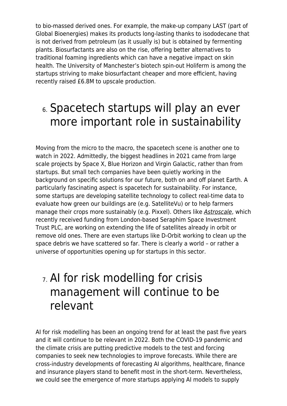to bio-massed derived ones. For example, the make-up company LAST (part of Global Bioenergies) makes its products long-lasting thanks to isododecane that is not derived from petroleum (as it usually is) but is obtained by fermenting plants. Biosurfactants are also on the rise, offering better alternatives to traditional foaming ingredients which can have a negative impact on skin health. The University of Manchester's biotech spin-out Holiferm is among the startups striving to make biosurfactant cheaper and more efficient, having recently raised £6.8M to upscale production.

## 6. Spacetech startups will play an ever more important role in sustainability

Moving from the micro to the macro, the spacetech scene is another one to watch in 2022. Admittedly, the biggest headlines in 2021 came from large scale projects by Space X, Blue Horizon and Virgin Galactic, rather than from startups. But small tech companies have been quietly working in the background on specific solutions for our future, both on and off planet Earth. A particularly fascinating aspect is spacetech for sustainability. For instance, some startups are developing satellite technology to collect real-time data to evaluate how green our buildings are (e.g. SatelliteVu) or to help farmers manage their crops more sustainably (e.g. Pixxel). Others like **[Astroscale](https://www.maddyness.com/uk/2021/08/02/why-do-we-need-to-clear-up-cosmic-debris/)**, which recently received funding from London-based Seraphim Space Investment Trust PLC, are working on extending the life of satellites already in orbit or remove old ones. There are even startups like D-Orbit working to clean up the space debris we have scattered so far. There is clearly a world – or rather a universe of opportunities opening up for startups in this sector.

## 7. AI for risk modelling for crisis management will continue to be relevant

AI for risk modelling has been an ongoing trend for at least the past five years and it will continue to be relevant in 2022. Both the COVID-19 pandemic and the climate crisis are putting predictive models to the test and forcing companies to seek new technologies to improve forecasts. While there are cross-industry developments of forecasting AI algorithms, healthcare, finance and insurance players stand to benefit most in the short-term. Nevertheless, we could see the emergence of more startups applying AI models to supply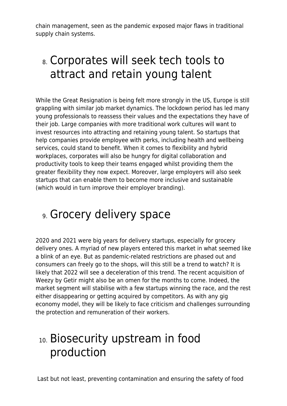chain management, seen as the pandemic exposed major flaws in traditional supply chain systems.

# 8. Corporates will seek tech tools to attract and retain young talent

While the Great Resignation is being felt more strongly in the US, Europe is still grappling with similar job market dynamics. The lockdown period has led many young professionals to reassess their values and the expectations they have of their job. Large companies with more traditional work cultures will want to invest resources into attracting and retaining young talent. So startups that help companies provide employee with perks, including health and wellbeing services, could stand to benefit. When it comes to flexibility and hybrid workplaces, corporates will also be hungry for digital collaboration and productivity tools to keep their teams engaged whilst providing them the greater flexibility they now expect. Moreover, large employers will also seek startups that can enable them to become more inclusive and sustainable (which would in turn improve their employer branding).

# 9. Grocery delivery space

2020 and 2021 were big years for delivery startups, especially for grocery delivery ones. A myriad of new players entered this market in what seemed like a blink of an eye. But as pandemic-related restrictions are phased out and consumers can freely go to the shops, will this still be a trend to watch? It is likely that 2022 will see a deceleration of this trend. The recent acquisition of Weezy by Getir might also be an omen for the months to come. Indeed, the market segment will stabilise with a few startups winning the race, and the rest either disappearing or getting acquired by competitors. As with any gig economy model, they will be likely to face criticism and challenges surrounding the protection and remuneration of their workers.

# 10. Biosecurity upstream in food production

Last but not least, preventing contamination and ensuring the safety of food